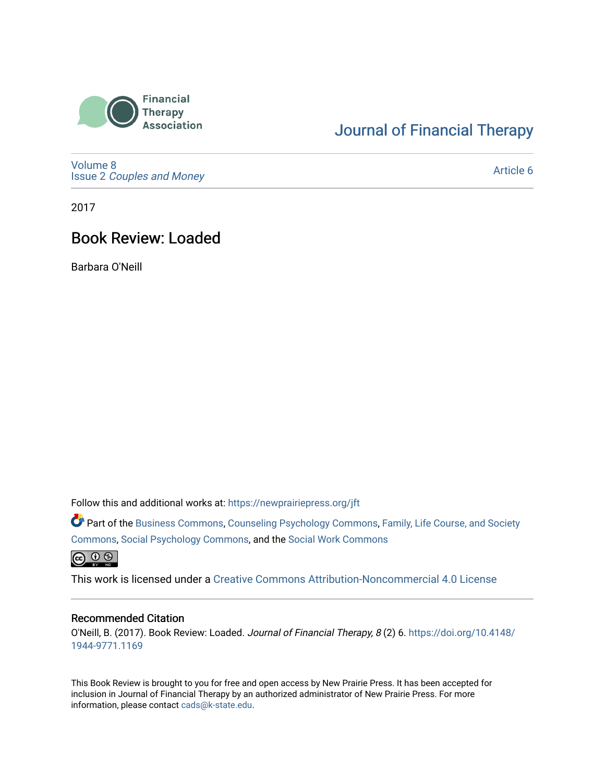

# [Journal of Financial Therapy](https://newprairiepress.org/jft)

[Volume 8](https://newprairiepress.org/jft/vol8) Issue 2 [Couples and Money](https://newprairiepress.org/jft/vol8/iss2)

[Article 6](https://newprairiepress.org/jft/vol8/iss2/6) 

2017

## Book Review: Loaded

Barbara O'Neill

Follow this and additional works at: [https://newprairiepress.org/jft](https://newprairiepress.org/jft?utm_source=newprairiepress.org%2Fjft%2Fvol8%2Fiss2%2F6&utm_medium=PDF&utm_campaign=PDFCoverPages)

Part of the [Business Commons](http://network.bepress.com/hgg/discipline/622?utm_source=newprairiepress.org%2Fjft%2Fvol8%2Fiss2%2F6&utm_medium=PDF&utm_campaign=PDFCoverPages), [Counseling Psychology Commons,](http://network.bepress.com/hgg/discipline/1044?utm_source=newprairiepress.org%2Fjft%2Fvol8%2Fiss2%2F6&utm_medium=PDF&utm_campaign=PDFCoverPages) [Family, Life Course, and Society](http://network.bepress.com/hgg/discipline/419?utm_source=newprairiepress.org%2Fjft%2Fvol8%2Fiss2%2F6&utm_medium=PDF&utm_campaign=PDFCoverPages)  [Commons](http://network.bepress.com/hgg/discipline/419?utm_source=newprairiepress.org%2Fjft%2Fvol8%2Fiss2%2F6&utm_medium=PDF&utm_campaign=PDFCoverPages), [Social Psychology Commons,](http://network.bepress.com/hgg/discipline/414?utm_source=newprairiepress.org%2Fjft%2Fvol8%2Fiss2%2F6&utm_medium=PDF&utm_campaign=PDFCoverPages) and the [Social Work Commons](http://network.bepress.com/hgg/discipline/713?utm_source=newprairiepress.org%2Fjft%2Fvol8%2Fiss2%2F6&utm_medium=PDF&utm_campaign=PDFCoverPages)   $\circledcirc$ 

This work is licensed under a [Creative Commons Attribution-Noncommercial 4.0 License](https://creativecommons.org/licenses/by-nc/4.0/)

#### Recommended Citation

O'Neill, B. (2017). Book Review: Loaded. Journal of Financial Therapy, 8 (2) 6. [https://doi.org/10.4148/](https://doi.org/10.4148/1944-9771.1169) [1944-9771.1169](https://doi.org/10.4148/1944-9771.1169) 

This Book Review is brought to you for free and open access by New Prairie Press. It has been accepted for inclusion in Journal of Financial Therapy by an authorized administrator of New Prairie Press. For more information, please contact [cads@k-state.edu](mailto:cads@k-state.edu).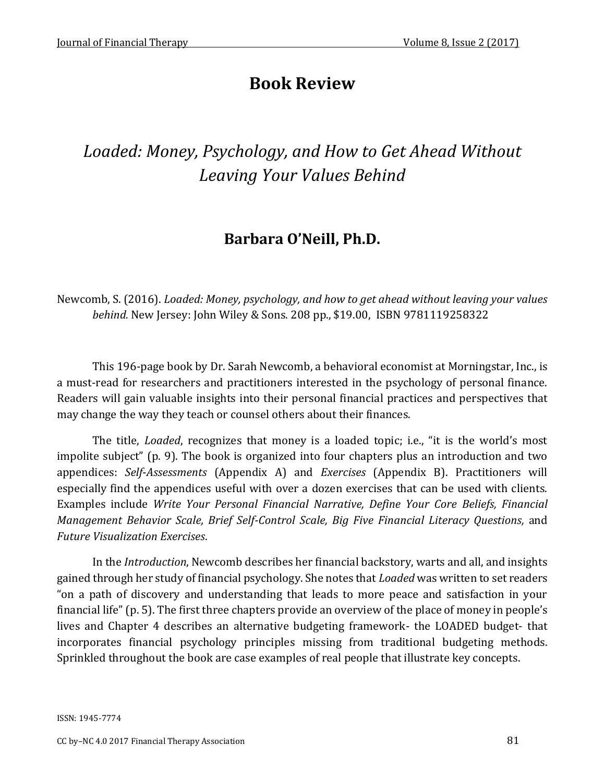# **Book Review**

# *Loaded: Money, Psychology, and How to Get Ahead Without Leaving Your Values Behind*

## **Barbara O'Neill, Ph.D.**

Newcomb, S. (2016). *Loaded: Money, psychology, and how to get ahead without leaving your values behind.* New Jersey: John Wiley & Sons. 208 pp., \$19.00, ISBN 9781119258322

This 196-page book by Dr. Sarah Newcomb, a behavioral economist at Morningstar, Inc., is a must-read for researchers and practitioners interested in the psychology of personal finance. Readers will gain valuable insights into their personal financial practices and perspectives that may change the way they teach or counsel others about their finances.

The title, *Loaded*, recognizes that money is a loaded topic; i.e., "it is the world's most impolite subject" (p. 9). The book is organized into four chapters plus an introduction and two appendices: *Self*-*Assessments* (Appendix A) and *Exercises* (Appendix B). Practitioners will especially find the appendices useful with over a dozen exercises that can be used with clients. Examples include *Write Your Personal Financial Narrative, Define Your Core Beliefs, Financial Management Behavior Scale, Brief Self-Control Scale, Big Five Financial Literacy Questions, and Future Visualization Exercises*.

In the *Introduction*, Newcomb describes her financial backstory, warts and all, and insights gained through her study of financial psychology. She notes that *Loaded* was written to set readers "on a path of discovery and understanding that leads to more peace and satisfaction in your financial life" (p. 5). The first three chapters provide an overview of the place of money in people's lives and Chapter 4 describes an alternative budgeting framework- the LOADED budget- that incorporates financial psychology principles missing from traditional budgeting methods. Sprinkled throughout the book are case examples of real people that illustrate key concepts.

ISSN: 1945-7774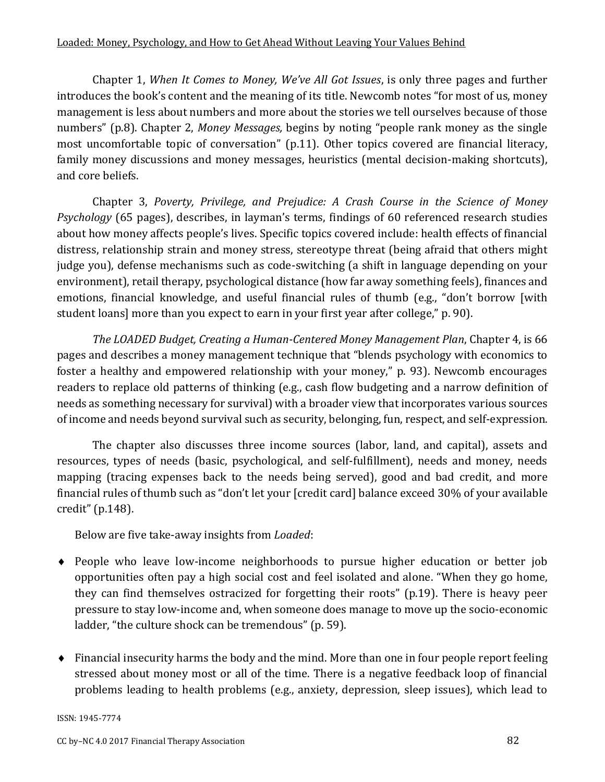Chapter 1, *When It Comes to Money, We've All Got Issues*, is only three pages and further introduces the book's content and the meaning of its title. Newcomb notes "for most of us, money management is less about numbers and more about the stories we tell ourselves because of those numbers" (p.8). Chapter 2, *Money Messages,* begins by noting "people rank money as the single most uncomfortable topic of conversation" (p.11). Other topics covered are financial literacy, family money discussions and money messages, heuristics (mental decision-making shortcuts), and core beliefs.

Chapter 3, *Poverty, Privilege, and Prejudice: A Crash Course in the Science of Money Psychology* (65 pages), describes, in layman's terms, findings of 60 referenced research studies about how money affects people's lives. Specific topics covered include: health effects of financial distress, relationship strain and money stress, stereotype threat (being afraid that others might judge you), defense mechanisms such as code-switching (a shift in language depending on your environment), retail therapy, psychological distance (how far away something feels), finances and emotions, financial knowledge, and useful financial rules of thumb (e.g., "don't borrow [with student loans] more than you expect to earn in your first year after college," p. 90).

*The LOADED Budget, Creating a Human-Centered Money Management Plan*, Chapter 4, is 66 pages and describes a money management technique that "blends psychology with economics to foster a healthy and empowered relationship with your money," p. 93). Newcomb encourages readers to replace old patterns of thinking (e.g., cash flow budgeting and a narrow definition of needs as something necessary for survival) with a broader view that incorporates various sources of income and needs beyond survival such as security, belonging, fun, respect, and self-expression.

The chapter also discusses three income sources (labor, land, and capital), assets and resources, types of needs (basic, psychological, and self-fulfillment), needs and money, needs mapping (tracing expenses back to the needs being served), good and bad credit, and more financial rules of thumb such as "don't let your [credit card] balance exceed 30% of your available credit" (p.148).

Below are five take-away insights from *Loaded*:

- People who leave low-income neighborhoods to pursue higher education or better job opportunities often pay a high social cost and feel isolated and alone. "When they go home, they can find themselves ostracized for forgetting their roots" (p.19). There is heavy peer pressure to stay low-income and, when someone does manage to move up the socio-economic ladder, "the culture shock can be tremendous" (p. 59).
- Financial insecurity harms the body and the mind. More than one in four people report feeling stressed about money most or all of the time. There is a negative feedback loop of financial problems leading to health problems (e.g., anxiety, depression, sleep issues), which lead to

ISSN: 1945-7774